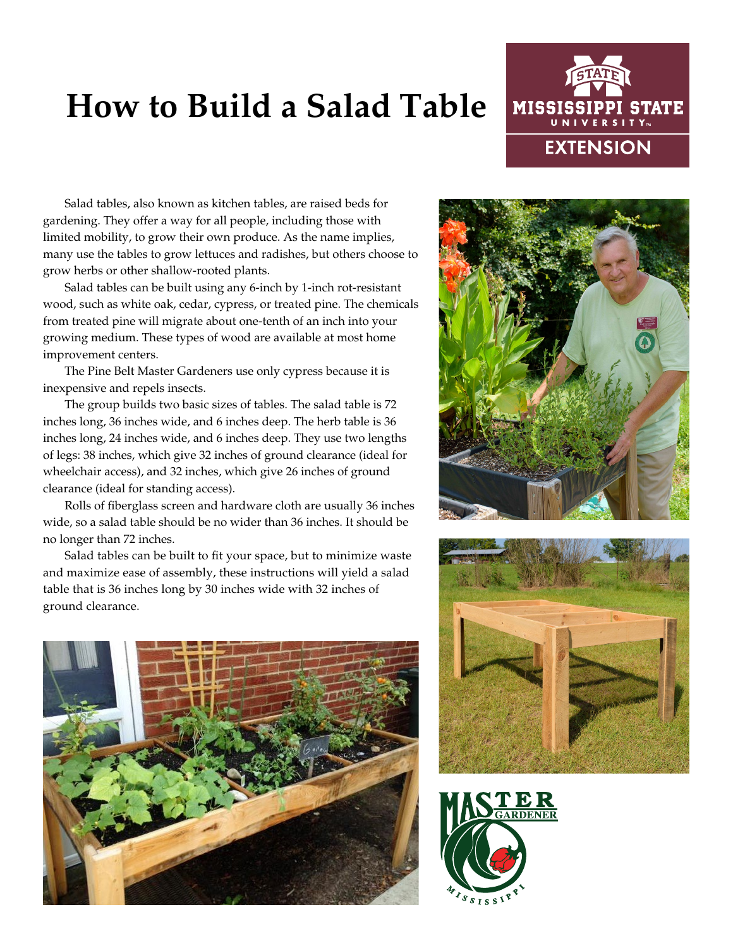## **How to Build a Salad Table**



Salad tables, also known as kitchen tables, are raised beds for gardening. They offer a way for all people, including those with limited mobility, to grow their own produce. As the name implies, many use the tables to grow lettuces and radishes, but others choose to grow herbs or other shallow-rooted plants.

Salad tables can be built using any 6-inch by 1-inch rot-resistant wood, such as white oak, cedar, cypress, or treated pine. The chemicals from treated pine will migrate about one-tenth of an inch into your growing medium. These types of wood are available at most home improvement centers.

The Pine Belt Master Gardeners use only cypress because it is inexpensive and repels insects.

The group builds two basic sizes of tables. The salad table is 72 inches long, 36 inches wide, and 6 inches deep. The herb table is 36 inches long, 24 inches wide, and 6 inches deep. They use two lengths of legs: 38 inches, which give 32 inches of ground clearance (ideal for wheelchair access), and 32 inches, which give 26 inches of ground clearance (ideal for standing access).

Rolls of fiberglass screen and hardware cloth are usually 36 inches wide, so a salad table should be no wider than 36 inches. It should be no longer than 72 inches.

Salad tables can be built to fit your space, but to minimize waste and maximize ease of assembly, these instructions will yield a salad table that is 36 inches long by 30 inches wide with 32 inches of ground clearance.